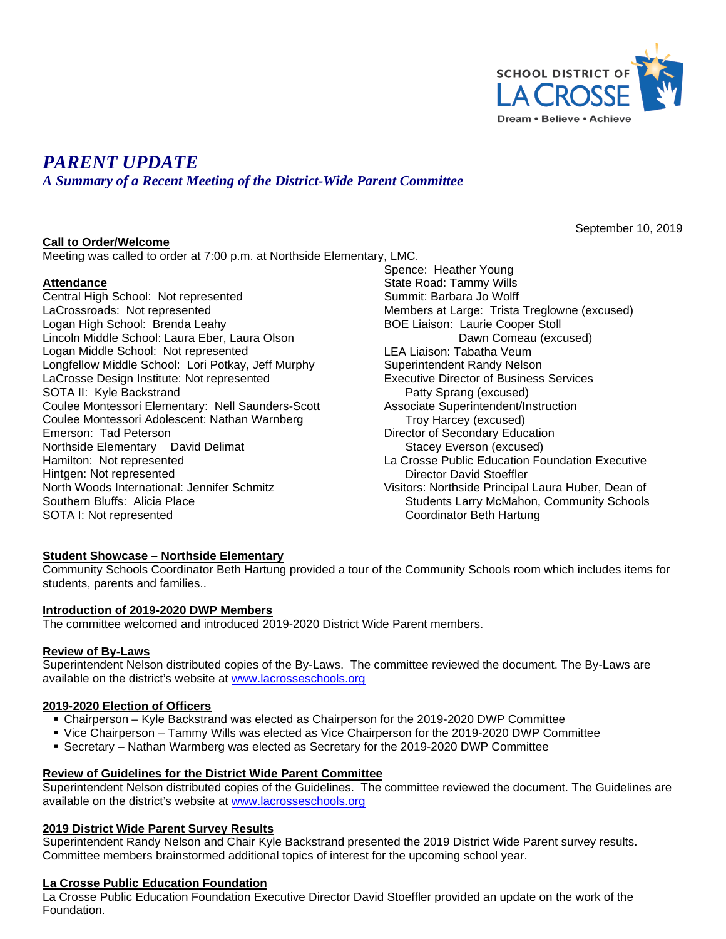

September 10, 2019

# *PARENT UPDATE*

*A Summary of a Recent Meeting of the District-Wide Parent Committee*

# **Call to Order/Welcome**

Meeting was called to order at 7:00 p.m. at Northside Elementary, LMC.

# **Attendance**

Central High School: Not represented LaCrossroads: Not represented Logan High School: Brenda Leahy Lincoln Middle School: Laura Eber, Laura Olson Logan Middle School: Not represented Longfellow Middle School: Lori Potkay, Jeff Murphy LaCrosse Design Institute: Not represented SOTA II: Kyle Backstrand Coulee Montessori Elementary: Nell Saunders-Scott Coulee Montessori Adolescent: Nathan Warnberg Emerson: Tad Peterson Northside Elementary David Delimat Hamilton: Not represented Hintgen: Not represented North Woods International: Jennifer Schmitz Southern Bluffs: Alicia Place SOTA I: Not represented

Spence: Heather Young State Road: Tammy Wills Summit: Barbara Jo Wolff Members at Large: Trista Treglowne (excused) BOE Liaison: Laurie Cooper Stoll Dawn Comeau (excused) LEA Liaison: Tabatha Veum Superintendent Randy Nelson Executive Director of Business Services Patty Sprang (excused) Associate Superintendent/Instruction Troy Harcey (excused) Director of Secondary Education Stacey Everson (excused) La Crosse Public Education Foundation Executive Director David Stoeffler Visitors: Northside Principal Laura Huber, Dean of Students Larry McMahon, Community Schools Coordinator Beth Hartung

#### **Student Showcase – Northside Elementary**

Community Schools Coordinator Beth Hartung provided a tour of the Community Schools room which includes items for students, parents and families..

#### **Introduction of 2019-2020 DWP Members**

The committee welcomed and introduced 2019-2020 District Wide Parent members.

#### **Review of By-Laws**

Superintendent Nelson distributed copies of the By-Laws. The committee reviewed the document. The By-Laws are available on the district's website at [www.lacrosseschools.org](http://www.lacrosseschools.org/)

#### **2019-2020 Election of Officers**

- Chairperson Kyle Backstrand was elected as Chairperson for the 2019-2020 DWP Committee
- Vice Chairperson Tammy Wills was elected as Vice Chairperson for the 2019-2020 DWP Committee
- Secretary Nathan Warmberg was elected as Secretary for the 2019-2020 DWP Committee

#### **Review of Guidelines for the District Wide Parent Committee**

Superintendent Nelson distributed copies of the Guidelines. The committee reviewed the document. The Guidelines are available on the district's website at [www.lacrosseschools.org](http://www.lacrosseschools.org/)

#### **2019 District Wide Parent Survey Results**

Superintendent Randy Nelson and Chair Kyle Backstrand presented the 2019 District Wide Parent survey results. Committee members brainstormed additional topics of interest for the upcoming school year.

# **La Crosse Public Education Foundation**

La Crosse Public Education Foundation Executive Director David Stoeffler provided an update on the work of the Foundation.